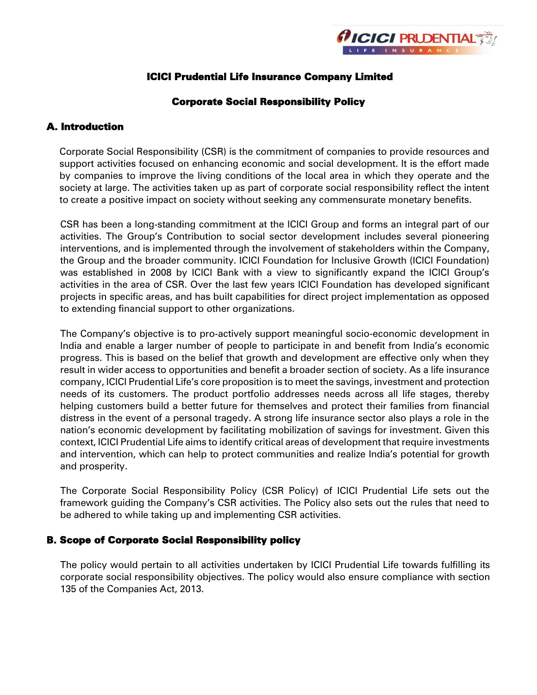

## ICICI Prudential Life Insurance Company Limited

#### Corporate Social Responsibility Policy

## A. Introduction

Corporate Social Responsibility (CSR) is the commitment of companies to provide resources and support activities focused on enhancing economic and social development. It is the effort made by companies to improve the living conditions of the local area in which they operate and the society at large. The activities taken up as part of corporate social responsibility reflect the intent to create a positive impact on society without seeking any commensurate monetary benefits.

CSR has been a long-standing commitment at the ICICI Group and forms an integral part of our activities. The Group's Contribution to social sector development includes several pioneering interventions, and is implemented through the involvement of stakeholders within the Company, the Group and the broader community. ICICI Foundation for Inclusive Growth (ICICI Foundation) was established in 2008 by ICICI Bank with a view to significantly expand the ICICI Group's activities in the area of CSR. Over the last few years ICICI Foundation has developed significant projects in specific areas, and has built capabilities for direct project implementation as opposed to extending financial support to other organizations.

The Company's objective is to pro-actively support meaningful socio-economic development in India and enable a larger number of people to participate in and benefit from India's economic progress. This is based on the belief that growth and development are effective only when they result in wider access to opportunities and benefit a broader section of society. As a life insurance company, ICICI Prudential Life's core proposition is to meet the savings, investment and protection needs of its customers. The product portfolio addresses needs across all life stages, thereby helping customers build a better future for themselves and protect their families from financial distress in the event of a personal tragedy. A strong life insurance sector also plays a role in the nation's economic development by facilitating mobilization of savings for investment. Given this context, ICICI Prudential Life aims to identify critical areas of development that require investments and intervention, which can help to protect communities and realize India's potential for growth and prosperity.

The Corporate Social Responsibility Policy (CSR Policy) of ICICI Prudential Life sets out the framework guiding the Company's CSR activities. The Policy also sets out the rules that need to be adhered to while taking up and implementing CSR activities.

#### B. Scope of Corporate Social Responsibility policy

The policy would pertain to all activities undertaken by ICICI Prudential Life towards fulfilling its corporate social responsibility objectives. The policy would also ensure compliance with section 135 of the Companies Act, 2013.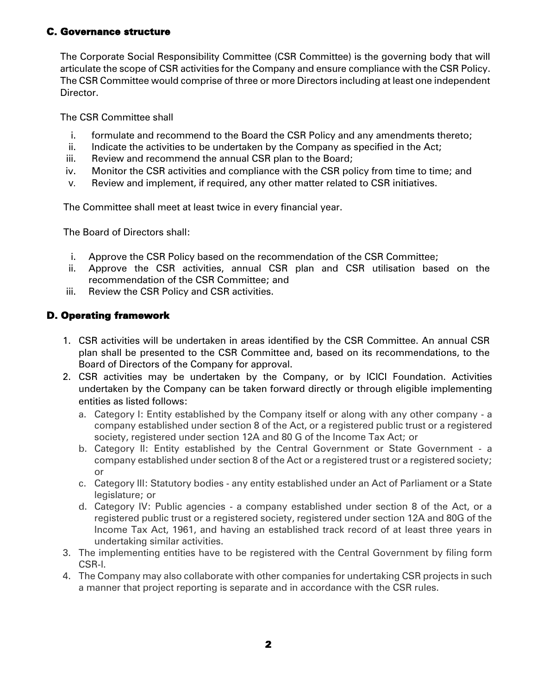## C. Governance structure

The Corporate Social Responsibility Committee (CSR Committee) is the governing body that will articulate the scope of CSR activities for the Company and ensure compliance with the CSR Policy. The CSR Committee would comprise of three or more Directors including at least one independent Director.

The CSR Committee shall

- i. formulate and recommend to the Board the CSR Policy and any amendments thereto;
- ii. Indicate the activities to be undertaken by the Company as specified in the Act;
- iii. Review and recommend the annual CSR plan to the Board;
- iv. Monitor the CSR activities and compliance with the CSR policy from time to time; and
- v. Review and implement, if required, any other matter related to CSR initiatives.

The Committee shall meet at least twice in every financial year.

The Board of Directors shall:

- i. Approve the CSR Policy based on the recommendation of the CSR Committee;
- ii. Approve the CSR activities, annual CSR plan and CSR utilisation based on the recommendation of the CSR Committee; and
- iii. Review the CSR Policy and CSR activities.

# D. Operating framework

- 1. CSR activities will be undertaken in areas identified by the CSR Committee. An annual CSR plan shall be presented to the CSR Committee and, based on its recommendations, to the Board of Directors of the Company for approval.
- 2. CSR activities may be undertaken by the Company, or by ICICI Foundation. Activities undertaken by the Company can be taken forward directly or through eligible implementing entities as listed follows:
	- a. Category I: Entity established by the Company itself or along with any other company a company established under section 8 of the Act, or a registered public trust or a registered society, registered under section 12A and 80 G of the Income Tax Act; or
	- b. Category II: Entity established by the Central Government or State Government a company established under section 8 of the Act or a registered trust or a registered society; or
	- c. Category III: Statutory bodies any entity established under an Act of Parliament or a State legislature; or
	- d. Category IV: Public agencies a company established under section 8 of the Act, or a registered public trust or a registered society, registered under section 12A and 80G of the Income Tax Act, 1961, and having an established track record of at least three years in undertaking similar activities.
- 3. The implementing entities have to be registered with the Central Government by filing form CSR-I.
- 4. The Company may also collaborate with other companies for undertaking CSR projects in such a manner that project reporting is separate and in accordance with the CSR rules.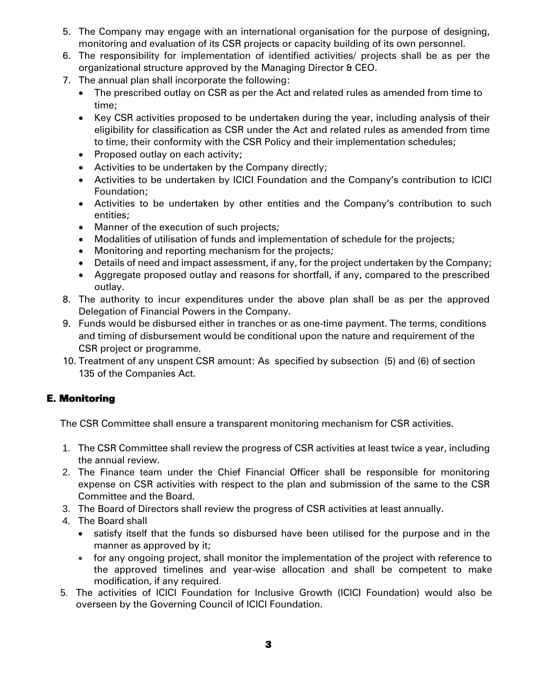- 5. The Company may engage with an international organisation for the purpose of designing, monitoring and evaluation of its CSR projects or capacity building of its own personnel.
- 6. The responsibility for implementation of identified activities/ projects shall be as per the organizational structure approved by the Managing Director & CEO.
- 7. The annual plan shall incorporate the following:
	- The prescribed outlay on CSR as per the Act and related rules as amended from time to time;
	- Key CSR activities proposed to be undertaken during the year, including analysis of their eligibility for classification as CSR under the Act and related rules as amended from time to time, their conformity with the CSR Policy and their implementation schedules;
	- Proposed outlay on each activity;
	- Activities to be undertaken by the Company directly;
	- Activities to be undertaken by ICICI Foundation and the Company's contribution to ICICI Foundation;
	- Activities to be undertaken by other entities and the Company's contribution to such entities;
	- Manner of the execution of such projects;
	- Modalities of utilisation of funds and implementation of schedule for the projects;
	- Monitoring and reporting mechanism for the projects;
	- Details of need and impact assessment, if any, for the project undertaken by the Company;
	- Aggregate proposed outlay and reasons for shortfall, if any, compared to the prescribed outlay.
- 8. The authority to incur expenditures under the above plan shall be as per the approved Delegation of Financial Powers in the Company.
- 9. Funds would be disbursed either in tranches or as one-time payment. The terms, conditions and timing of disbursement would be conditional upon the nature and requirement of the CSR project or programme.
- 10. Treatment of any unspent CSR amount: As specified by subsection (5) and (6) of section 135 of the Companies Act.

# E. Monitoring

The CSR Committee shall ensure a transparent monitoring mechanism for CSR activities.

- 1. The CSR Committee shall review the progress of CSR activities at least twice a year, including the annual review.
- 2. The Finance team under the Chief Financial Officer shall be responsible for monitoring expense on CSR activities with respect to the plan and submission of the same to the CSR Committee and the Board.
- 3. The Board of Directors shall review the progress of CSR activities at least annually.
- 4. The Board shall
	- satisfy itself that the funds so disbursed have been utilised for the purpose and in the manner as approved by it;
	- for any ongoing project, shall monitor the implementation of the project with reference to the approved timelines and year-wise allocation and shall be competent to make modification, if any required.
- 5. The activities of ICICI Foundation for Inclusive Growth (ICICI Foundation) would also be overseen by the Governing Council of ICICI Foundation.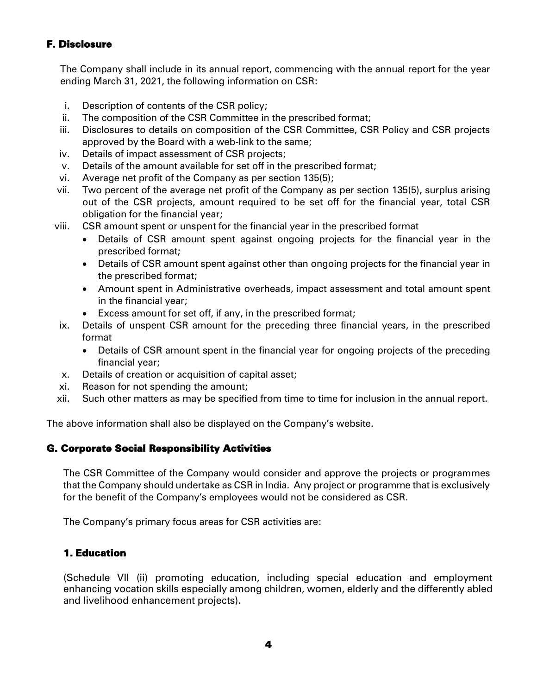## F. Disclosure

The Company shall include in its annual report, commencing with the annual report for the year ending March 31, 2021, the following information on CSR:

- i. Description of contents of the CSR policy;
- ii. The composition of the CSR Committee in the prescribed format;
- iii. Disclosures to details on composition of the CSR Committee, CSR Policy and CSR projects approved by the Board with a web-link to the same;
- iv. Details of impact assessment of CSR projects;
- v. Details of the amount available for set off in the prescribed format;
- vi. Average net profit of the Company as per section 135(5);
- vii. Two percent of the average net profit of the Company as per section 135(5), surplus arising out of the CSR projects, amount required to be set off for the financial year, total CSR obligation for the financial year;
- viii. CSR amount spent or unspent for the financial year in the prescribed format
	- Details of CSR amount spent against ongoing projects for the financial year in the prescribed format;
	- Details of CSR amount spent against other than ongoing projects for the financial year in the prescribed format;
	- Amount spent in Administrative overheads, impact assessment and total amount spent in the financial year;
	- Excess amount for set off, if any, in the prescribed format;
- ix. Details of unspent CSR amount for the preceding three financial years, in the prescribed format
	- Details of CSR amount spent in the financial year for ongoing projects of the preceding financial year;
- x. Details of creation or acquisition of capital asset;
- xi. Reason for not spending the amount;
- xii. Such other matters as may be specified from time to time for inclusion in the annual report.

The above information shall also be displayed on the Company's website.

## G. Corporate Social Responsibility Activities

The CSR Committee of the Company would consider and approve the projects or programmes that the Company should undertake as CSR in India. Any project or programme that is exclusively for the benefit of the Company's employees would not be considered as CSR.

The Company's primary focus areas for CSR activities are:

## 1. Education

(Schedule VII (ii) promoting education, including special education and employment enhancing vocation skills especially among children, women, elderly and the differently abled and livelihood enhancement projects).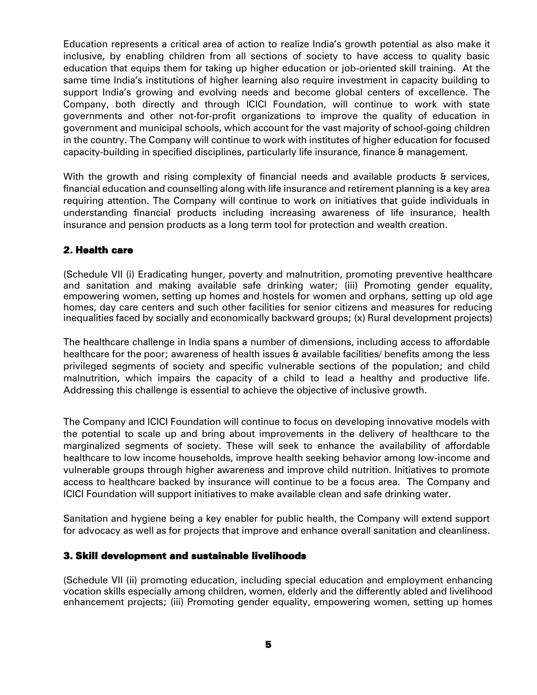Education represents a critical area of action to realize India's growth potential as also make it inclusive, by enabling children from all sections of society to have access to quality basic education that equips them for taking up higher education or job-oriented skill training. At the same time India's institutions of higher learning also require investment in capacity building to support India's growing and evolving needs and become global centers of excellence. The Company, both directly and through ICICI Foundation, will continue to work with state governments and other not-for-profit organizations to improve the quality of education in government and municipal schools, which account for the vast majority of school-going children in the country. The Company will continue to work with institutes of higher education for focused capacity-building in specified disciplines, particularly life insurance, finance & management.

With the growth and rising complexity of financial needs and available products & services, financial education and counselling along with life insurance and retirement planning is a key area requiring attention. The Company will continue to work on initiatives that guide individuals in understanding financial products including increasing awareness of life insurance, health insurance and pension products as a long term tool for protection and wealth creation.

#### 2. Health care

(Schedule VII (i) Eradicating hunger, poverty and malnutrition, promoting preventive healthcare and sanitation and making available safe drinking water; (iii) Promoting gender equality, empowering women, setting up homes and hostels for women and orphans, setting up old age homes, day care centers and such other facilities for senior citizens and measures for reducing inequalities faced by socially and economically backward groups; (x) Rural development projects)

The healthcare challenge in India spans a number of dimensions, including access to affordable healthcare for the poor; awareness of health issues & available facilities/ benefits among the less privileged segments of society and specific vulnerable sections of the population; and child malnutrition, which impairs the capacity of a child to lead a healthy and productive life. Addressing this challenge is essential to achieve the objective of inclusive growth.

The Company and ICICI Foundation will continue to focus on developing innovative models with the potential to scale up and bring about improvements in the delivery of healthcare to the marginalized segments of society. These will seek to enhance the availability of affordable healthcare to low income households, improve health seeking behavior among low-income and vulnerable groups through higher awareness and improve child nutrition. Initiatives to promote access to healthcare backed by insurance will continue to be a focus area. The Company and ICICI Foundation will support initiatives to make available clean and safe drinking water.

Sanitation and hygiene being a key enabler for public health, the Company will extend support for advocacy as well as for projects that improve and enhance overall sanitation and cleanliness.

#### 3. Skill development and sustainable livelihoods

(Schedule VII (ii) promoting education, including special education and employment enhancing vocation skills especially among children, women, elderly and the differently abled and livelihood enhancement projects; (iii) Promoting gender equality, empowering women, setting up homes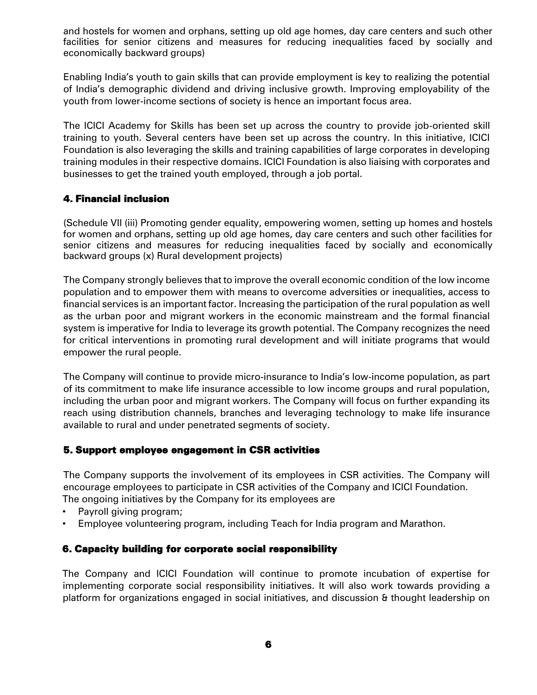and hostels for women and orphans, setting up old age homes, day care centers and such other facilities for senior citizens and measures for reducing inequalities faced by socially and economically backward groups)

Enabling India's youth to gain skills that can provide employment is key to realizing the potential of India's demographic dividend and driving inclusive growth. Improving employability of the youth from lower-income sections of society is hence an important focus area.

The ICICI Academy for Skills has been set up across the country to provide job-oriented skill training to youth. Several centers have been set up across the country. In this initiative, ICICI Foundation is also leveraging the skills and training capabilities of large corporates in developing training modules in their respective domains. ICICI Foundation is also liaising with corporates and businesses to get the trained youth employed, through a job portal.

## 4. Financial inclusion

(Schedule VII (iii) Promoting gender equality, empowering women, setting up homes and hostels for women and orphans, setting up old age homes, day care centers and such other facilities for senior citizens and measures for reducing inequalities faced by socially and economically backward groups (x) Rural development projects)

The Company strongly believes that to improve the overall economic condition of the low income population and to empower them with means to overcome adversities or inequalities, access to financial services is an important factor. Increasing the participation of the rural population as well as the urban poor and migrant workers in the economic mainstream and the formal financial system is imperative for India to leverage its growth potential. The Company recognizes the need for critical interventions in promoting rural development and will initiate programs that would empower the rural people.

The Company will continue to provide micro-insurance to India's low-income population, as part of its commitment to make life insurance accessible to low income groups and rural population, including the urban poor and migrant workers. The Company will focus on further expanding its reach using distribution channels, branches and leveraging technology to make life insurance available to rural and under penetrated segments of society.

#### 5. Support employee engagement in CSR activities

The Company supports the involvement of its employees in CSR activities. The Company will encourage employees to participate in CSR activities of the Company and ICICI Foundation. The ongoing initiatives by the Company for its employees are

- Payroll giving program;
- Employee volunteering program, including Teach for India program and Marathon.

## 6. Capacity building for corporate social responsibility

The Company and ICICI Foundation will continue to promote incubation of expertise for implementing corporate social responsibility initiatives. It will also work towards providing a platform for organizations engaged in social initiatives, and discussion & thought leadership on